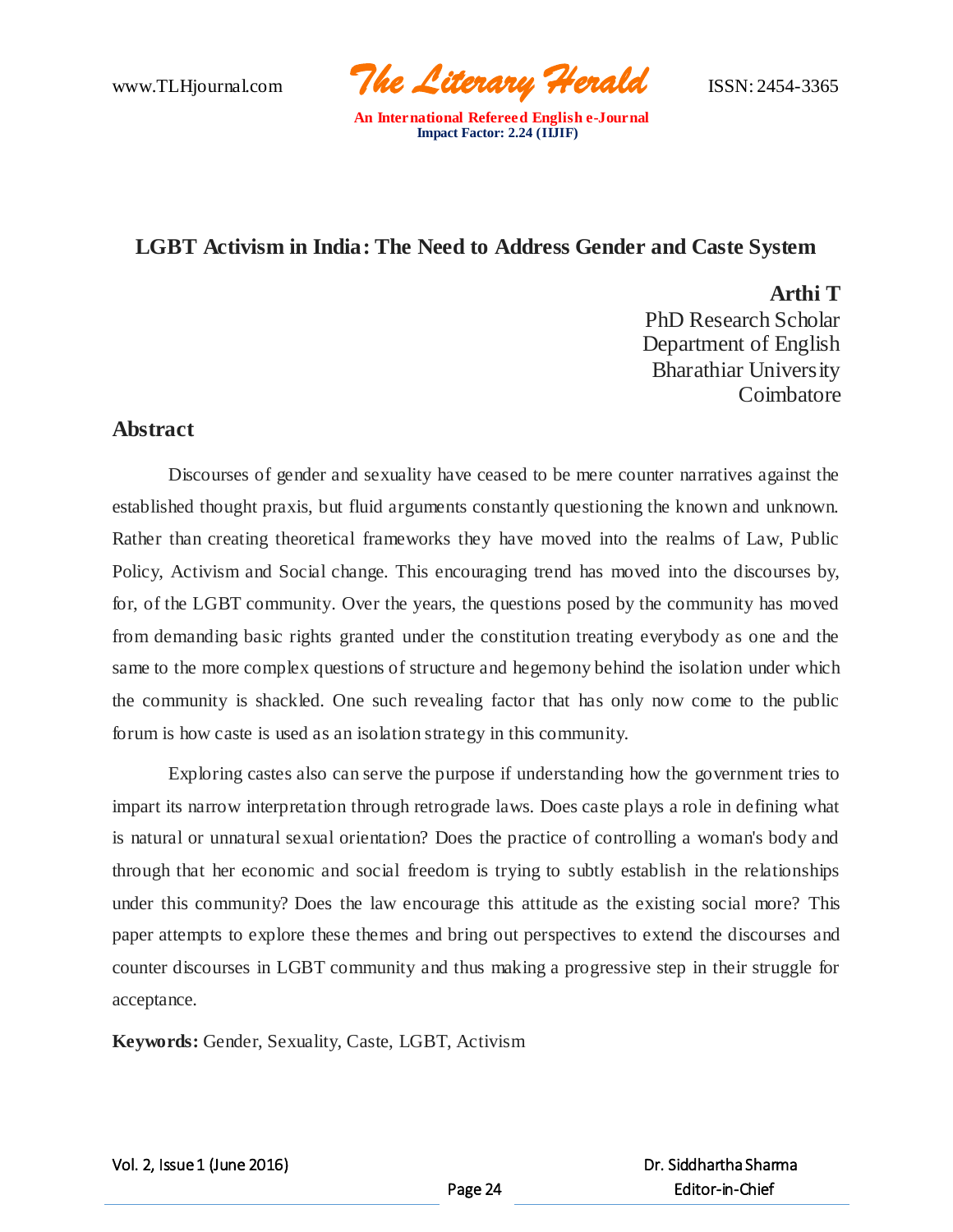www.TLHjournal.com *The Literary Herald*ISSN: 2454-3365

# **LGBT Activism in India: The Need to Address Gender and Caste System**

**Arthi T** PhD Research Scholar Department of English Bharathiar University Coimbatore

## **Abstract**

Discourses of gender and sexuality have ceased to be mere counter narratives against the established thought praxis, but fluid arguments constantly questioning the known and unknown. Rather than creating theoretical frameworks they have moved into the realms of Law, Public Policy, Activism and Social change. This encouraging trend has moved into the discourses by, for, of the LGBT community. Over the years, the questions posed by the community has moved from demanding basic rights granted under the constitution treating everybody as one and the same to the more complex questions of structure and hegemony behind the isolation under which the community is shackled. One such revealing factor that has only now come to the public forum is how caste is used as an isolation strategy in this community.

Exploring castes also can serve the purpose if understanding how the government tries to impart its narrow interpretation through retrograde laws. Does caste plays a role in defining what is natural or unnatural sexual orientation? Does the practice of controlling a woman's body and through that her economic and social freedom is trying to subtly establish in the relationships under this community? Does the law encourage this attitude as the existing social more? This paper attempts to explore these themes and bring out perspectives to extend the discourses and counter discourses in LGBT community and thus making a progressive step in their struggle for acceptance.

**Keywords:** Gender, Sexuality, Caste, LGBT, Activism

Vol. 2, Issue 1 (June 2016)

 Dr. Siddhartha Sharma Editor-in-Chief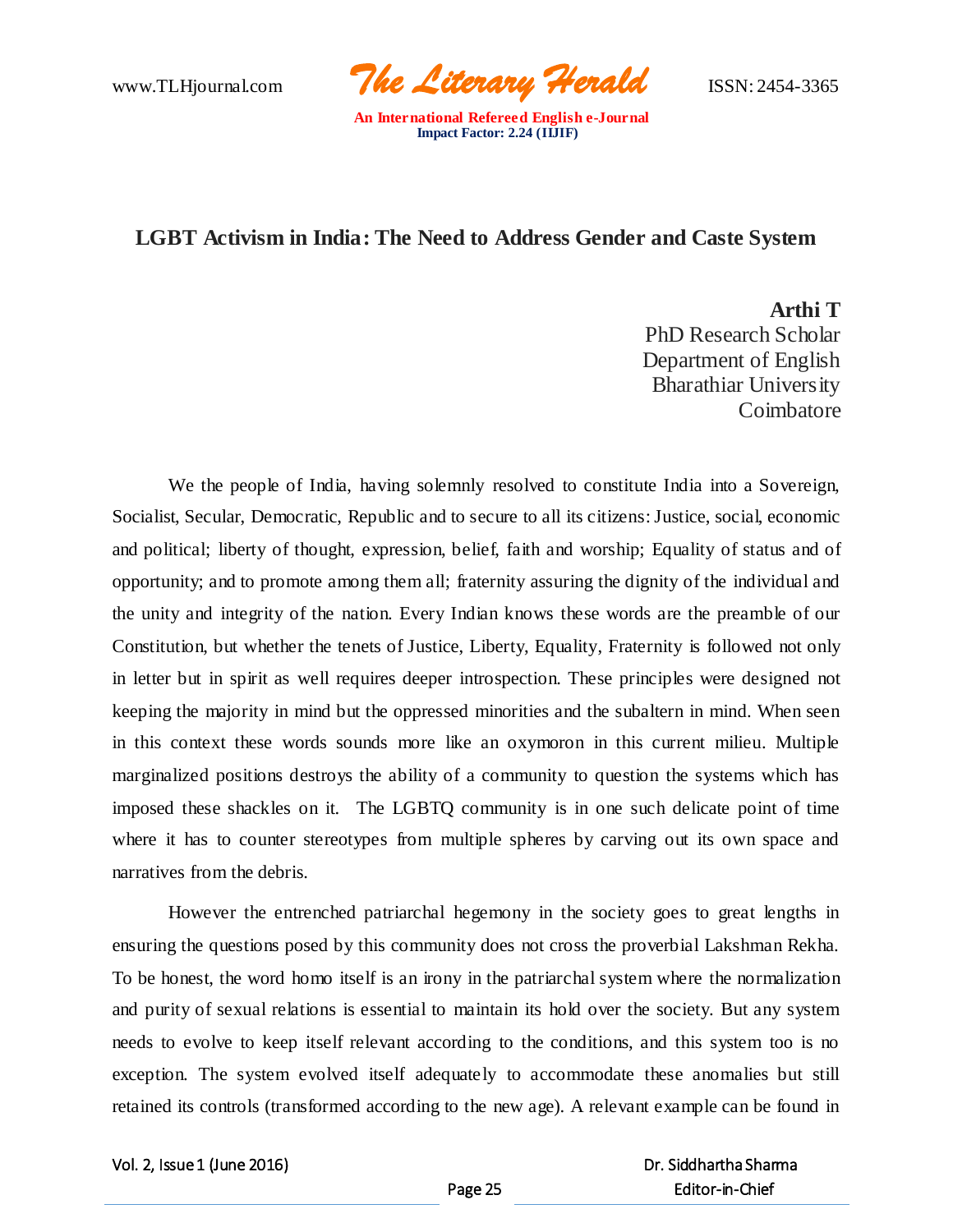www.TLHjournal.com *The Literary Herald*ISSN: 2454-3365

## **LGBT Activism in India: The Need to Address Gender and Caste System**

**Arthi T** PhD Research Scholar Department of English Bharathiar University Coimbatore

We the people of India, having solemnly resolved to constitute India into a Sovereign, Socialist, Secular, Democratic, Republic and to secure to all its citizens: Justice, social, economic and political; liberty of thought, expression, belief, faith and worship; Equality of status and of opportunity; and to promote among them all; fraternity assuring the dignity of the individual and the unity and integrity of the nation. Every Indian knows these words are the preamble of our Constitution, but whether the tenets of Justice, Liberty, Equality, Fraternity is followed not only in letter but in spirit as well requires deeper introspection. These principles were designed not keeping the majority in mind but the oppressed minorities and the subaltern in mind. When seen in this context these words sounds more like an oxymoron in this current milieu. Multiple marginalized positions destroys the ability of a community to question the systems which has imposed these shackles on it. The LGBTQ community is in one such delicate point of time where it has to counter stereotypes from multiple spheres by carving out its own space and narratives from the debris.

However the entrenched patriarchal hegemony in the society goes to great lengths in ensuring the questions posed by this community does not cross the proverbial Lakshman Rekha. To be honest, the word homo itself is an irony in the patriarchal system where the normalization and purity of sexual relations is essential to maintain its hold over the society. But any system needs to evolve to keep itself relevant according to the conditions, and this system too is no exception. The system evolved itself adequately to accommodate these anomalies but still retained its controls (transformed according to the new age). A relevant example can be found in

Vol. 2, Issue 1 (June 2016)

### Dr. Siddhartha Sharma Editor-in-Chief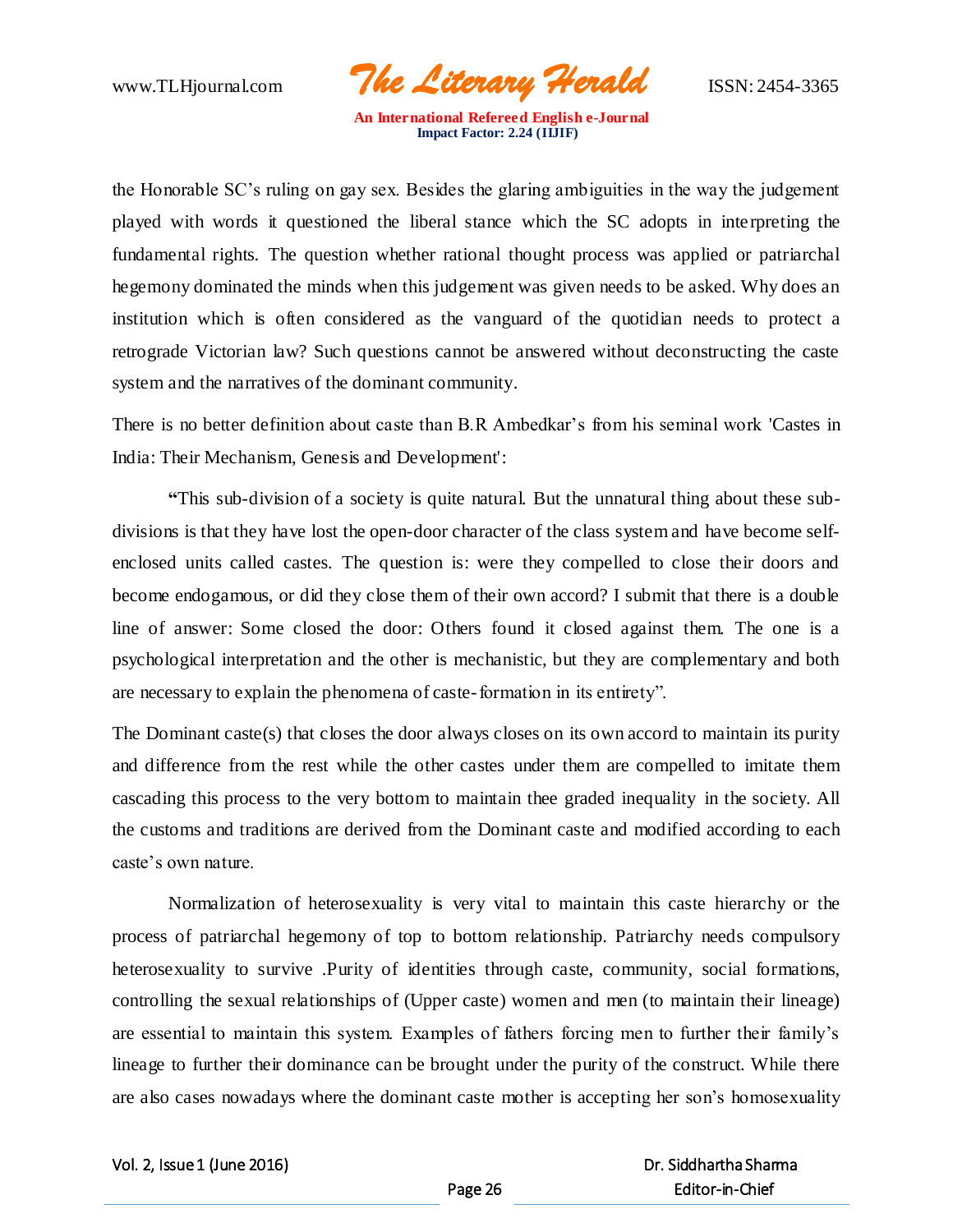www.TLHjournal.com *The Literary Herald*ISSN: 2454-3365

the Honorable SC's ruling on gay sex. Besides the glaring ambiguities in the way the judgement played with words it questioned the liberal stance which the SC adopts in interpreting the fundamental rights. The question whether rational thought process was applied or patriarchal hegemony dominated the minds when this judgement was given needs to be asked. Why does an institution which is often considered as the vanguard of the quotidian needs to protect a retrograde Victorian law? Such questions cannot be answered without deconstructing the caste system and the narratives of the dominant community.

There is no better definition about caste than B.R Ambedkar's from his seminal work 'Castes in India: Their Mechanism, Genesis and Development':

**"**This sub-division of a society is quite natural. But the unnatural thing about these subdivisions is that they have lost the open-door character of the class system and have become selfenclosed units called castes. The question is: were they compelled to close their doors and become endogamous, or did they close them of their own accord? I submit that there is a double line of answer: Some closed the door: Others found it closed against them. The one is a psychological interpretation and the other is mechanistic, but they are complementary and both are necessary to explain the phenomena of caste-formation in its entirety".

The Dominant caste(s) that closes the door always closes on its own accord to maintain its purity and difference from the rest while the other castes under them are compelled to imitate them cascading this process to the very bottom to maintain thee graded inequality in the society. All the customs and traditions are derived from the Dominant caste and modified according to each caste's own nature.

Normalization of heterosexuality is very vital to maintain this caste hierarchy or the process of patriarchal hegemony of top to bottom relationship. Patriarchy needs compulsory heterosexuality to survive .Purity of identities through caste, community, social formations, controlling the sexual relationships of (Upper caste) women and men (to maintain their lineage) are essential to maintain this system. Examples of fathers forcing men to further their family's lineage to further their dominance can be brought under the purity of the construct. While there are also cases nowadays where the dominant caste mother is accepting her son's homosexuality

Vol. 2, Issue 1 (June 2016)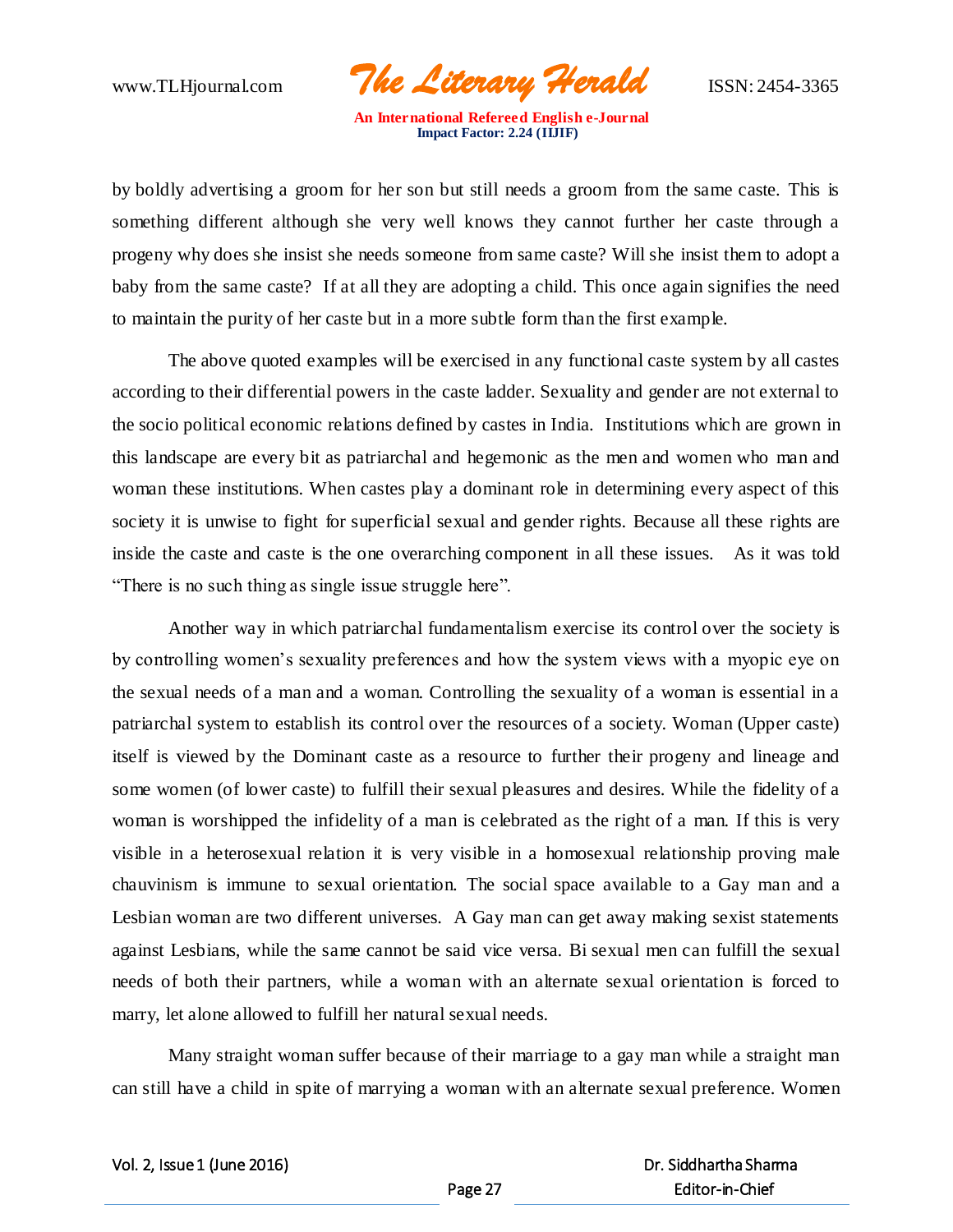www.TLHjournal.com *The Literary Herald*ISSN: 2454-3365

by boldly advertising a groom for her son but still needs a groom from the same caste. This is something different although she very well knows they cannot further her caste through a progeny why does she insist she needs someone from same caste? Will she insist them to adopt a baby from the same caste? If at all they are adopting a child. This once again signifies the need to maintain the purity of her caste but in a more subtle form than the first example.

The above quoted examples will be exercised in any functional caste system by all castes according to their differential powers in the caste ladder. Sexuality and gender are not external to the socio political economic relations defined by castes in India. Institutions which are grown in this landscape are every bit as patriarchal and hegemonic as the men and women who man and woman these institutions. When castes play a dominant role in determining every aspect of this society it is unwise to fight for superficial sexual and gender rights. Because all these rights are inside the caste and caste is the one overarching component in all these issues. As it was told "There is no such thing as single issue struggle here".

Another way in which patriarchal fundamentalism exercise its control over the society is by controlling women's sexuality preferences and how the system views with a myopic eye on the sexual needs of a man and a woman. Controlling the sexuality of a woman is essential in a patriarchal system to establish its control over the resources of a society. Woman (Upper caste) itself is viewed by the Dominant caste as a resource to further their progeny and lineage and some women (of lower caste) to fulfill their sexual pleasures and desires. While the fidelity of a woman is worshipped the infidelity of a man is celebrated as the right of a man. If this is very visible in a heterosexual relation it is very visible in a homosexual relationship proving male chauvinism is immune to sexual orientation. The social space available to a Gay man and a Lesbian woman are two different universes. A Gay man can get away making sexist statements against Lesbians, while the same cannot be said vice versa. Bi sexual men can fulfill the sexual needs of both their partners, while a woman with an alternate sexual orientation is forced to marry, let alone allowed to fulfill her natural sexual needs.

Many straight woman suffer because of their marriage to a gay man while a straight man can still have a child in spite of marrying a woman with an alternate sexual preference. Women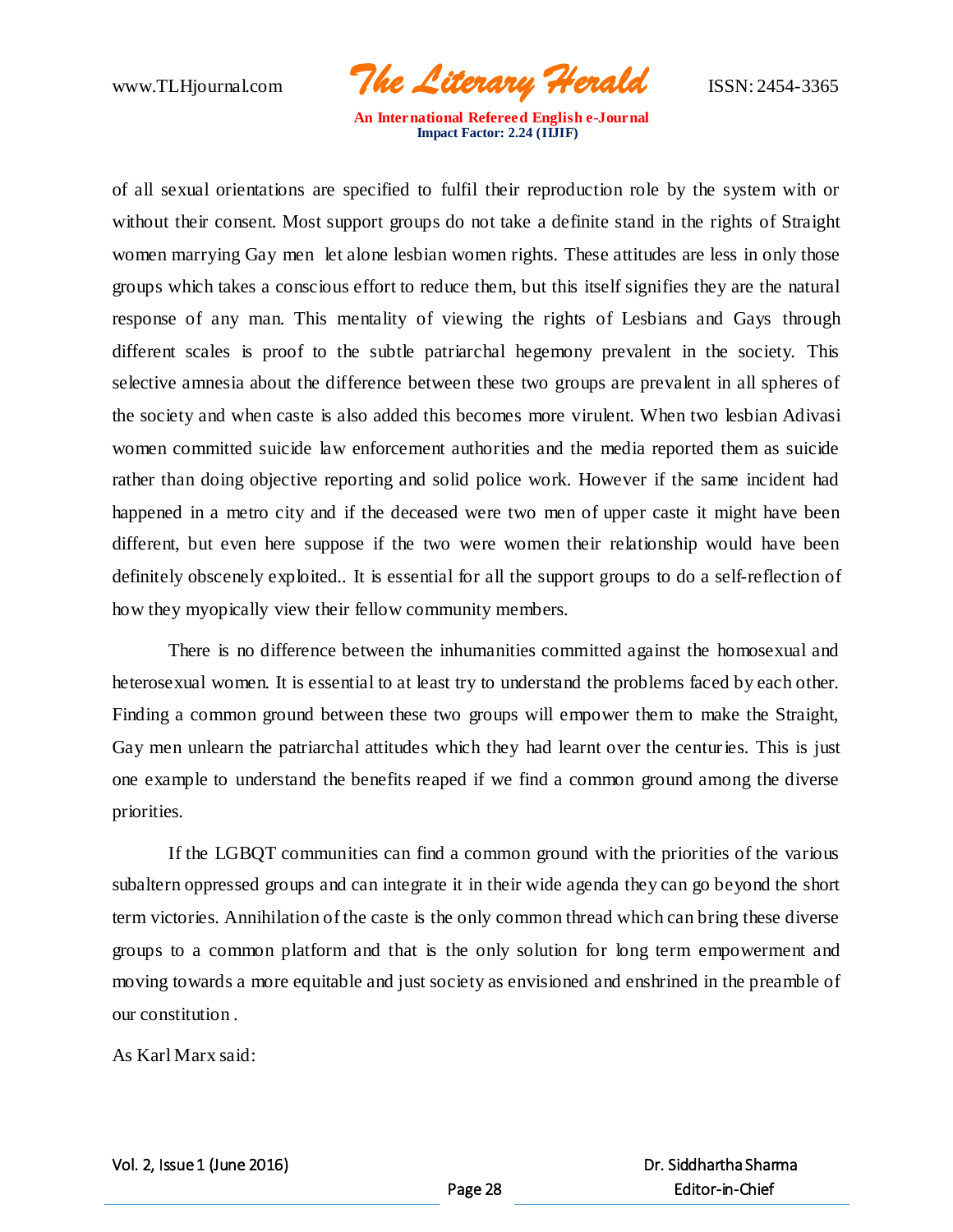www.TLHjournal.com *The Literary Herald*ISSN: 2454-3365

of all sexual orientations are specified to fulfil their reproduction role by the system with or without their consent. Most support groups do not take a definite stand in the rights of Straight women marrying Gay men let alone lesbian women rights. These attitudes are less in only those groups which takes a conscious effort to reduce them, but this itself signifies they are the natural response of any man. This mentality of viewing the rights of Lesbians and Gays through different scales is proof to the subtle patriarchal hegemony prevalent in the society. This selective amnesia about the difference between these two groups are prevalent in all spheres of the society and when caste is also added this becomes more virulent. When two lesbian Adivasi women committed suicide law enforcement authorities and the media reported them as suicide rather than doing objective reporting and solid police work. However if the same incident had happened in a metro city and if the deceased were two men of upper caste it might have been different, but even here suppose if the two were women their relationship would have been definitely obscenely exploited.. It is essential for all the support groups to do a self-reflection of how they myopically view their fellow community members.

There is no difference between the inhumanities committed against the homosexual and heterosexual women. It is essential to at least try to understand the problems faced by each other. Finding a common ground between these two groups will empower them to make the Straight, Gay men unlearn the patriarchal attitudes which they had learnt over the centuries. This is just one example to understand the benefits reaped if we find a common ground among the diverse priorities.

If the LGBQT communities can find a common ground with the priorities of the various subaltern oppressed groups and can integrate it in their wide agenda they can go beyond the short term victories. Annihilation of the caste is the only common thread which can bring these diverse groups to a common platform and that is the only solution for long term empowerment and moving towards a more equitable and just society as envisioned and enshrined in the preamble of our constitution .

As Karl Marx said: